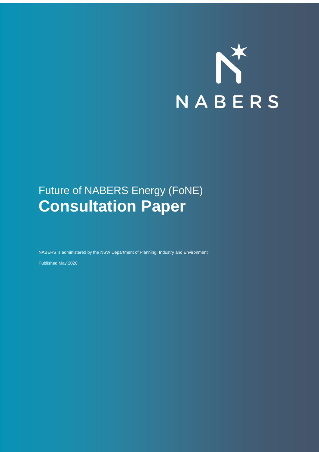

## Future of NABERS Energy (FoNE) **Consultation Paper**

NABERS is administered by the NSW Department of Planning, Industry and Environment

Published May 2020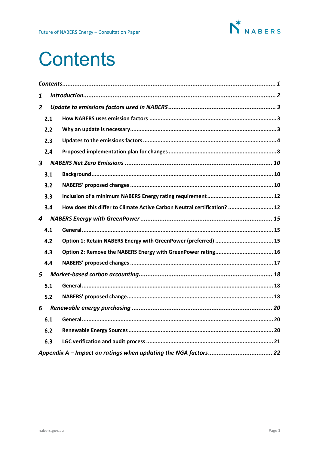

## <span id="page-1-0"></span>**Contents**

| 1              |     |                                                                          |  |
|----------------|-----|--------------------------------------------------------------------------|--|
| $\overline{2}$ |     |                                                                          |  |
|                | 2.1 |                                                                          |  |
|                | 2.2 |                                                                          |  |
|                | 2.3 |                                                                          |  |
|                | 2.4 |                                                                          |  |
| 3              |     |                                                                          |  |
|                | 3.1 |                                                                          |  |
|                | 3.2 |                                                                          |  |
|                | 3.3 |                                                                          |  |
|                | 3.4 | How does this differ to Climate Active Carbon Neutral certification?  12 |  |
| 4              |     |                                                                          |  |
|                | 4.1 |                                                                          |  |
|                | 4.2 | Option 1: Retain NABERS Energy with GreenPower (preferred)  15           |  |
|                | 4.3 | Option 2: Remove the NABERS Energy with GreenPower rating 16             |  |
|                | 4.4 |                                                                          |  |
| 5              |     |                                                                          |  |
|                | 5.1 |                                                                          |  |
|                | 5.2 |                                                                          |  |
| 6              |     |                                                                          |  |
|                | 6.1 |                                                                          |  |
|                | 6.2 |                                                                          |  |
|                | 6.3 |                                                                          |  |
|                |     |                                                                          |  |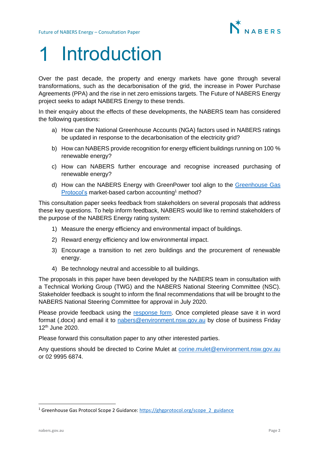

# <span id="page-2-0"></span>Introduction

Over the past decade, the property and energy markets have gone through several transformations, such as the decarbonisation of the grid, the increase in Power Purchase Agreements (PPA) and the rise in net zero emissions targets. The Future of NABERS Energy project seeks to adapt NABERS Energy to these trends.

In their enquiry about the effects of these developments, the NABERS team has considered the following questions:

- a) How can the National Greenhouse Accounts (NGA) factors used in NABERS ratings be updated in response to the decarbonisation of the electricity grid?
- b) How can NABERS provide recognition for energy efficient buildings running on 100 % renewable energy?
- c) How can NABERS further encourage and recognise increased purchasing of renewable energy?
- d) How can the NABERS Energy with GreenPower tool align to the [Greenhouse Gas](https://ghgprotocol.org/scope_2_guidance)  [Protocol's](https://ghgprotocol.org/scope_2_guidance) market-based carbon accounting<sup>1</sup> method?

This consultation paper seeks feedback from stakeholders on several proposals that address these key questions. To help inform feedback, NABERS would like to remind stakeholders of the purpose of the NABERS Energy rating system:

- 1) Measure the energy efficiency and environmental impact of buildings.
- 2) Reward energy efficiency and low environmental impact.
- 3) Encourage a transition to net zero buildings and the procurement of renewable energy.
- 4) Be technology neutral and accessible to all buildings.

The proposals in this paper have been developed by the NABERS team in consultation with a Technical Working Group (TWG) and the NABERS National Steering Committee (NSC). Stakeholder feedback is sought to inform the final recommendations that will be brought to the NABERS National Steering Committee for approval in July 2020.

Please provide feedback using the [response form.](https://nabers.gov.au/publications/future-nabers-energy) Once completed please save it in word format (.docx) and email it to [nabers@environment.nsw.gov.au](mailto:nabers@environment.nsw.gov.au) by close of business Friday 12th June 2020.

Please forward this consultation paper to any other interested parties.

Any questions should be directed to Corine Mulet at [corine.mulet@environment.nsw.gov.au](mailto:corine.mulet@environment.nsw.gov.au) or 02 9995 6874.

<sup>&</sup>lt;sup>1</sup> Greenhouse Gas Protocol Scope 2 Guidance[: https://ghgprotocol.org/scope\\_2\\_guidance](https://ghgprotocol.org/scope_2_guidance)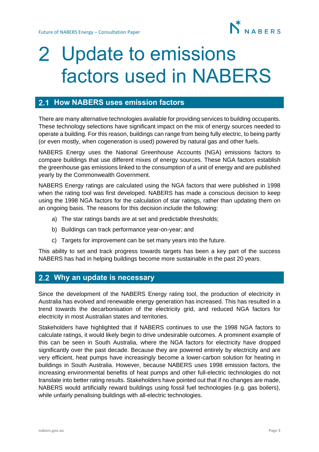

# <span id="page-3-0"></span>2 Update to emissions factors used in NABERS

### <span id="page-3-1"></span>**2.1 How NABERS uses emission factors**

There are many alternative technologies available for providing services to building occupants. These technology selections have significant impact on the mix of energy sources needed to operate a building. For this reason, buildings can range from being fully electric, to being partly (or even mostly, when cogeneration is used) powered by natural gas and other fuels.

NABERS Energy uses the National Greenhouse Accounts (NGA) emissions factors to compare buildings that use different mixes of energy sources. These NGA factors establish the greenhouse gas emissions linked to the consumption of a unit of energy and are published yearly by the Commonwealth Government.

NABERS Energy ratings are calculated using the NGA factors that were published in 1998 when the rating tool was first developed. NABERS has made a conscious decision to keep using the 1998 NGA factors for the calculation of star ratings, rather than updating them on an ongoing basis. The reasons for this decision include the following:

- a) The star ratings bands are at set and predictable thresholds;
- b) Buildings can track performance year-on-year; and
- c) Targets for improvement can be set many years into the future.

This ability to set and track progress towards targets has been a key part of the success NABERS has had in helping buildings become more sustainable in the past 20 years.

### <span id="page-3-2"></span>**Why an update is necessary**

Since the development of the NABERS Energy rating tool, the production of electricity in Australia has evolved and renewable energy generation has increased. This has resulted in a trend towards the decarbonisation of the electricity grid, and reduced NGA factors for electricity in most Australian states and territories.

Stakeholders have highlighted that if NABERS continues to use the 1998 NGA factors to calculate ratings, it would likely begin to drive undesirable outcomes. A prominent example of this can be seen in South Australia, where the NGA factors for electricity have dropped significantly over the past decade. Because they are powered entirely by electricity and are very efficient, heat pumps have increasingly become a lower-carbon solution for heating in buildings in South Australia. However, because NABERS uses 1998 emission factors, the increasing environmental benefits of heat pumps and other full-electric technologies do not translate into better rating results. Stakeholders have pointed out that if no changes are made, NABERS would artificially reward buildings using fossil fuel technologies (e.g. gas boilers), while unfairly penalising buildings with all-electric technologies.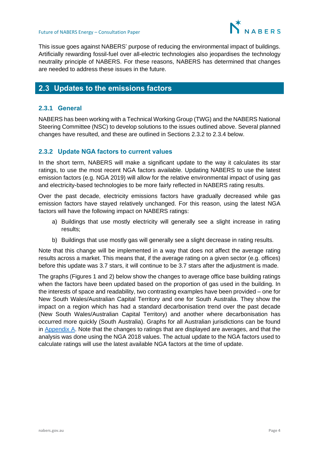

This issue goes against NABERS' purpose of reducing the environmental impact of buildings. Artificially rewarding fossil-fuel over all-electric technologies also jeopardises the technology neutrality principle of NABERS. For these reasons, NABERS has determined that changes are needed to address these issues in the future.

## <span id="page-4-0"></span>**Updates to the emissions factors**

#### **2.3.1 General**

NABERS has been working with a Technical Working Group (TWG) and the NABERS National Steering Committee (NSC) to develop solutions to the issues outlined above. Several planned changes have resulted, and these are outlined in Sections 2.3.2 to 2.3.4 below.

#### <span id="page-4-1"></span>**2.3.2 Update NGA factors to current values**

In the short term, NABERS will make a significant update to the way it calculates its star ratings, to use the most recent NGA factors available. Updating NABERS to use the latest emission factors (e.g. NGA 2019) will allow for the relative environmental impact of using gas and electricity-based technologies to be more fairly reflected in NABERS rating results.

Over the past decade, electricity emissions factors have gradually decreased while gas emission factors have stayed relatively unchanged. For this reason, using the latest NGA factors will have the following impact on NABERS ratings:

- a) Buildings that use mostly electricity will generally see a slight increase in rating results;
- b) Buildings that use mostly gas will generally see a slight decrease in rating results.

Note that this change will be implemented in a way that does not affect the average rating results across a market. This means that, if the average rating on a given sector (e.g. offices) before this update was 3.7 stars, it will continue to be 3.7 stars after the adjustment is made.

The graphs (Figures 1 and 2) below show the changes to average office base building ratings when the factors have been updated based on the proportion of gas used in the building. In the interests of space and readability, two contrasting examples have been provided – one for New South Wales/Australian Capital Territory and one for South Australia. They show the impact on a region which has had a standard decarbonisation trend over the past decade (New South Wales/Australian Capital Territory) and another where decarbonisation has occurred more quickly (South Australia). Graphs for all Australian jurisdictions can be found in [Appendix A.](#page-22-0) Note that the changes to ratings that are displayed are averages, and that the analysis was done using the NGA 2018 values. The actual update to the NGA factors used to calculate ratings will use the latest available NGA factors at the time of update.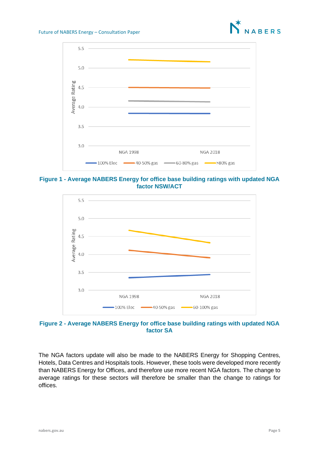



**Figure 1 - Average NABERS Energy for office base building ratings with updated NGA factor NSW/ACT**



**Figure 2 - Average NABERS Energy for office base building ratings with updated NGA factor SA**

The NGA factors update will also be made to the NABERS Energy for Shopping Centres, Hotels, Data Centres and Hospitals tools. However, these tools were developed more recently than NABERS Energy for Offices, and therefore use more recent NGA factors. The change to average ratings for these sectors will therefore be smaller than the change to ratings for offices.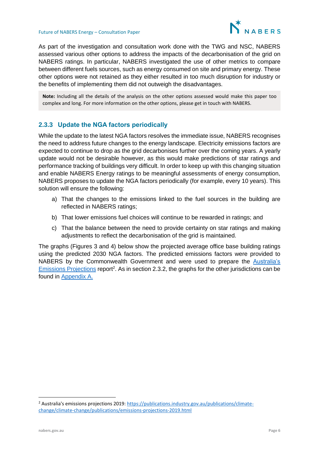

As part of the investigation and consultation work done with the TWG and NSC, NABERS assessed various other options to address the impacts of the decarbonisation of the grid on NABERS ratings. In particular, NABERS investigated the use of other metrics to compare between different fuels sources, such as energy consumed on site and primary energy. These other options were not retained as they either resulted in too much disruption for industry or the benefits of implementing them did not outweigh the disadvantages.

**Note:** Including all the details of the analysis on the other options assessed would make this paper too complex and long. For more information on the other options, please get in touch with NABERS.

#### **2.3.3 Update the NGA factors periodically**

While the update to the latest NGA factors resolves the immediate issue, NABERS recognises the need to address future changes to the energy landscape. Electricity emissions factors are expected to continue to drop as the grid decarbonises further over the coming years. A yearly update would not be desirable however, as this would make predictions of star ratings and performance tracking of buildings very difficult. In order to keep up with this changing situation and enable NABERS Energy ratings to be meaningful assessments of energy consumption, NABERS proposes to update the NGA factors periodically (for example, every 10 years). This solution will ensure the following:

- a) That the changes to the emissions linked to the fuel sources in the building are reflected in NABERS ratings;
- b) That lower emissions fuel choices will continue to be rewarded in ratings; and
- c) That the balance between the need to provide certainty on star ratings and making adjustments to reflect the decarbonisation of the grid is maintained.

The graphs (Figures 3 and 4) below show the projected average office base building ratings using the predicted 2030 NGA factors. The predicted emissions factors were provided to NABERS by the Commonwealth Government and were used to prepare the [Australia's](https://publications.industry.gov.au/publications/climate-change/climate-change/publications/emissions-projections-2019.html)  [Emissions Projections](https://publications.industry.gov.au/publications/climate-change/climate-change/publications/emissions-projections-2019.html) report<sup>2</sup>. As in section 2.3.2, the graphs for the other jurisdictions can be found in [Appendix A.](#page-22-0)

<sup>&</sup>lt;sup>2</sup> Australia's emissions projections 2019: [https://publications.industry.gov.au/publications/climate](https://publications.industry.gov.au/publications/climate-change/climate-change/publications/emissions-projections-2019.html)[change/climate-change/publications/emissions-projections-2019.html](https://publications.industry.gov.au/publications/climate-change/climate-change/publications/emissions-projections-2019.html)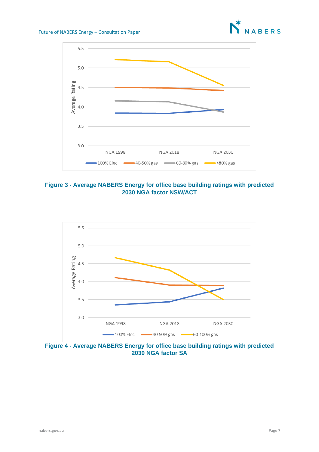



**Figure 3 - Average NABERS Energy for office base building ratings with predicted 2030 NGA factor NSW/ACT**



**Figure 4 - Average NABERS Energy for office base building ratings with predicted 2030 NGA factor SA**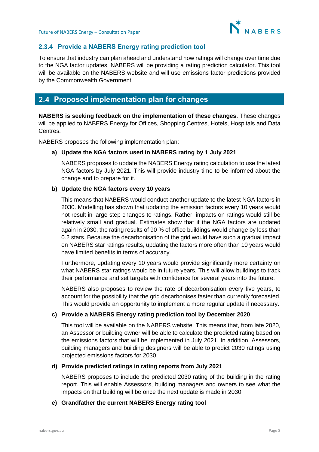

#### **2.3.4 Provide a NABERS Energy rating prediction tool**

To ensure that industry can plan ahead and understand how ratings will change over time due to the NGA factor updates, NABERS will be providing a rating prediction calculator. This tool will be available on the NABERS website and will use emissions factor predictions provided by the Commonwealth Government.

## <span id="page-8-0"></span>**Proposed implementation plan for changes**

**NABERS is seeking feedback on the implementation of these changes**. These changes will be applied to NABERS Energy for Offices, Shopping Centres, Hotels, Hospitals and Data Centres.

NABERS proposes the following implementation plan:

#### **a) Update the NGA factors used in NABERS rating by 1 July 2021**

NABERS proposes to update the NABERS Energy rating calculation to use the latest NGA factors by July 2021. This will provide industry time to be informed about the change and to prepare for it.

#### **b) Update the NGA factors every 10 years**

This means that NABERS would conduct another update to the latest NGA factors in 2030. Modelling has shown that updating the emission factors every 10 years would not result in large step changes to ratings. Rather, impacts on ratings would still be relatively small and gradual. Estimates show that if the NGA factors are updated again in 2030, the rating results of 90 % of office buildings would change by less than 0.2 stars. Because the decarbonisation of the grid would have such a gradual impact on NABERS star ratings results, updating the factors more often than 10 years would have limited benefits in terms of accuracy.

Furthermore, updating every 10 years would provide significantly more certainty on what NABERS star ratings would be in future years. This will allow buildings to track their performance and set targets with confidence for several years into the future.

NABERS also proposes to review the rate of decarbonisation every five years, to account for the possibility that the grid decarbonises faster than currently forecasted. This would provide an opportunity to implement a more regular update if necessary.

#### **c) Provide a NABERS Energy rating prediction tool by December 2020**

This tool will be available on the NABERS website. This means that, from late 2020, an Assessor or building owner will be able to calculate the predicted rating based on the emissions factors that will be implemented in July 2021. In addition, Assessors, building managers and building designers will be able to predict 2030 ratings using projected emissions factors for 2030.

#### **d) Provide predicted ratings in rating reports from July 2021**

NABERS proposes to include the predicted 2030 rating of the building in the rating report. This will enable Assessors, building managers and owners to see what the impacts on that building will be once the next update is made in 2030.

#### **e) Grandfather the current NABERS Energy rating tool**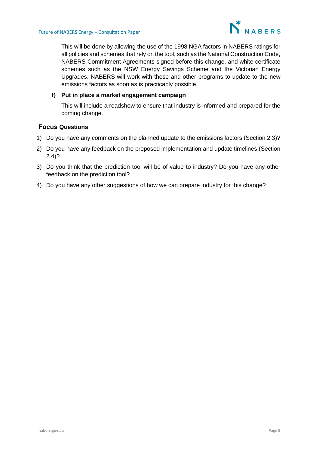

This will be done by allowing the use of the 1998 NGA factors in NABERS ratings for all policies and schemes that rely on the tool, such as the National Construction Code, NABERS Commitment Agreements signed before this change, and white certificate schemes such as the NSW Energy Savings Scheme and the Victorian Energy Upgrades. NABERS will work with these and other programs to update to the new emissions factors as soon as is practicably possible.

#### **f) Put in place a market engagement campaign**

This will include a roadshow to ensure that industry is informed and prepared for the coming change.

- 1) Do you have any comments on the planned update to the emissions factors (Section 2.3)?
- 2) Do you have any feedback on the proposed implementation and update timelines (Section 2.4)?
- 3) Do you think that the prediction tool will be of value to industry? Do you have any other feedback on the prediction tool?
- 4) Do you have any other suggestions of how we can prepare industry for this change?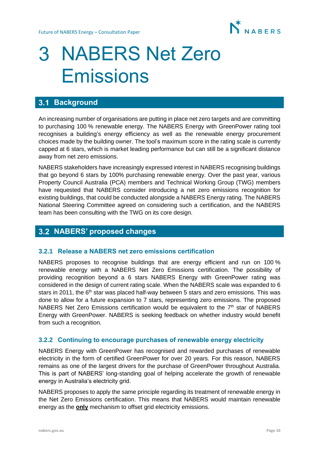

## <span id="page-10-0"></span>NABERS Net Zero Emissions

## <span id="page-10-1"></span>**3.1 Background**

An increasing number of organisations are putting in place net zero targets and are committing to purchasing 100 % renewable energy. The NABERS Energy with GreenPower rating tool recognises a building's energy efficiency as well as the renewable energy procurement choices made by the building owner. The tool's maximum score in the rating scale is currently capped at 6 stars, which is market leading performance but can still be a significant distance away from net zero emissions.

NABERS stakeholders have increasingly expressed interest in NABERS recognising buildings that go beyond 6 stars by 100% purchasing renewable energy. Over the past year, various Property Council Australia (PCA) members and Technical Working Group (TWG) members have requested that NABERS consider introducing a net zero emissions recognition for existing buildings, that could be conducted alongside a NABERS Energy rating. The NABERS National Steering Committee agreed on considering such a certification, and the NABERS team has been consulting with the TWG on its core design.

### <span id="page-10-2"></span>**NABERS' proposed changes**

#### **3.2.1 Release a NABERS net zero emissions certification**

NABERS proposes to recognise buildings that are energy efficient and run on 100 % renewable energy with a NABERS Net Zero Emissions certification. The possibility of providing recognition beyond a 6 stars NABERS Energy with GreenPower rating was considered in the design of current rating scale. When the NABERS scale was expanded to 6 stars in 2011, the  $6<sup>th</sup>$  star was placed half-way between 5 stars and zero emissions. This was done to allow for a future expansion to 7 stars, representing zero emissions. The proposed NABERS Net Zero Emissions certification would be equivalent to the  $7<sup>th</sup>$  star of NABERS Energy with GreenPower. NABERS is seeking feedback on whether industry would benefit from such a recognition.

#### **3.2.2 Continuing to encourage purchases of renewable energy electricity**

NABERS Energy with GreenPower has recognised and rewarded purchases of renewable electricity in the form of certified GreenPower for over 20 years. For this reason, NABERS remains as one of the largest drivers for the purchase of GreenPower throughout Australia. This is part of NABERS' long-standing goal of helping accelerate the growth of renewable energy in Australia's electricity grid.

NABERS proposes to apply the same principle regarding its treatment of renewable energy in the Net Zero Emissions certification. This means that NABERS would maintain renewable energy as the **only** mechanism to offset grid electricity emissions.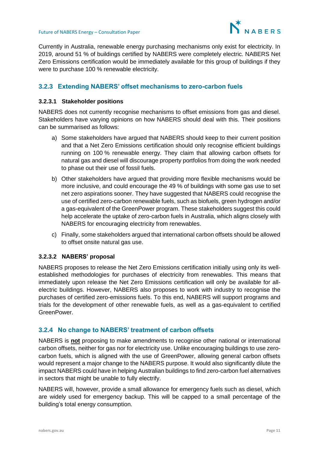

Currently in Australia, renewable energy purchasing mechanisms only exist for electricity. In 2019, around 51 % of buildings certified by NABERS were completely electric. NABERS Net Zero Emissions certification would be immediately available for this group of buildings if they were to purchase 100 % renewable electricity.

#### **3.2.3 Extending NABERS' offset mechanisms to zero-carbon fuels**

#### **3.2.3.1 Stakeholder positions**

NABERS does not currently recognise mechanisms to offset emissions from gas and diesel. Stakeholders have varying opinions on how NABERS should deal with this. Their positions can be summarised as follows:

- a) Some stakeholders have argued that NABERS should keep to their current position and that a Net Zero Emissions certification should only recognise efficient buildings running on 100 % renewable energy. They claim that allowing carbon offsets for natural gas and diesel will discourage property portfolios from doing the work needed to phase out their use of fossil fuels.
- b) Other stakeholders have argued that providing more flexible mechanisms would be more inclusive, and could encourage the 49 % of buildings with some gas use to set net zero aspirations sooner. They have suggested that NABERS could recognise the use of certified zero-carbon renewable fuels, such as biofuels, green hydrogen and/or a gas-equivalent of the GreenPower program. These stakeholders suggest this could help accelerate the uptake of zero-carbon fuels in Australia, which aligns closely with NABERS for encouraging electricity from renewables.
- c) Finally, some stakeholders argued that international carbon offsets should be allowed to offset onsite natural gas use.

#### **3.2.3.2 NABERS' proposal**

NABERS proposes to release the Net Zero Emissions certification initially using only its wellestablished methodologies for purchases of electricity from renewables. This means that immediately upon release the Net Zero Emissions certification will only be available for allelectric buildings. However, NABERS also proposes to work with industry to recognise the purchases of certified zero-emissions fuels. To this end, NABERS will support programs and trials for the development of other renewable fuels, as well as a gas-equivalent to certified GreenPower.

#### **3.2.4 No change to NABERS' treatment of carbon offsets**

NABERS is **not** proposing to make amendments to recognise other national or international carbon offsets, neither for gas nor for electricity use. Unlike encouraging buildings to use zerocarbon fuels, which is aligned with the use of GreenPower, allowing general carbon offsets would represent a major change to the NABERS purpose. It would also significantly dilute the impact NABERS could have in helping Australian buildings to find zero-carbon fuel alternatives in sectors that might be unable to fully electrify.

NABERS will, however, provide a small allowance for emergency fuels such as diesel, which are widely used for emergency backup. This will be capped to a small percentage of the building's total energy consumption.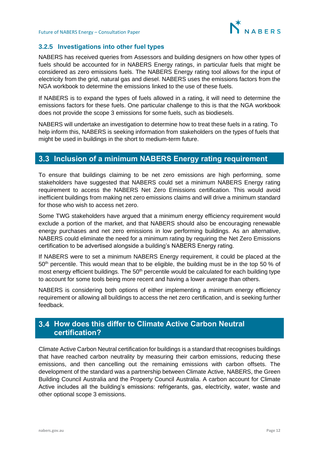

#### **3.2.5 Investigations into other fuel types**

NABERS has received queries from Assessors and building designers on how other types of fuels should be accounted for in NABERS Energy ratings, in particular fuels that might be considered as zero emissions fuels. The NABERS Energy rating tool allows for the input of electricity from the grid, natural gas and diesel. NABERS uses the emissions factors from the NGA workbook to determine the emissions linked to the use of these fuels.

If NABERS is to expand the types of fuels allowed in a rating, it will need to determine the emissions factors for these fuels. One particular challenge to this is that the NGA workbook does not provide the scope 3 emissions for some fuels, such as biodiesels.

NABERS will undertake an investigation to determine how to treat these fuels in a rating. To help inform this, NABERS is seeking information from stakeholders on the types of fuels that might be used in buildings in the short to medium-term future.

## <span id="page-12-0"></span>**Inclusion of a minimum NABERS Energy rating requirement**

To ensure that buildings claiming to be net zero emissions are high performing, some stakeholders have suggested that NABERS could set a minimum NABERS Energy rating requirement to access the NABERS Net Zero Emissions certification. This would avoid inefficient buildings from making net zero emissions claims and will drive a minimum standard for those who wish to access net zero.

Some TWG stakeholders have argued that a minimum energy efficiency requirement would exclude a portion of the market, and that NABERS should also be encouraging renewable energy purchases and net zero emissions in low performing buildings. As an alternative, NABERS could eliminate the need for a minimum rating by requiring the Net Zero Emissions certification to be advertised alongside a building's NABERS Energy rating.

If NABERS were to set a minimum NABERS Energy requirement, it could be placed at the  $50<sup>th</sup>$  percentile. This would mean that to be eligible, the building must be in the top 50 % of most energy efficient buildings. The 50<sup>th</sup> percentile would be calculated for each building type to account for some tools being more recent and having a lower average than others.

NABERS is considering both options of either implementing a minimum energy efficiency requirement or allowing all buildings to access the net zero certification, and is seeking further feedback.

## <span id="page-12-1"></span>**How does this differ to Climate Active Carbon Neutral certification?**

Climate Active Carbon Neutral certification for buildings is a standard that recognises buildings that have reached carbon neutrality by measuring their carbon emissions, reducing these emissions, and then cancelling out the remaining emissions with carbon offsets. The development of the standard was a partnership between Climate Active, NABERS, the Green Building Council Australia and the Property Council Australia. A carbon account for Climate Active includes all the building's emissions: refrigerants, gas, electricity, water, waste and other optional scope 3 emissions.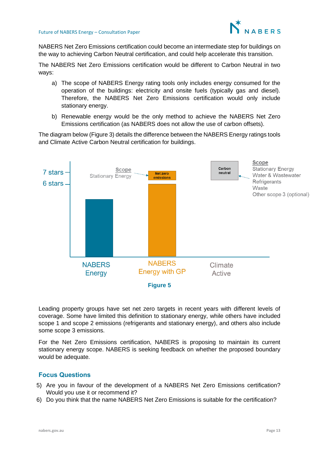

NABERS Net Zero Emissions certification could become an intermediate step for buildings on the way to achieving Carbon Neutral certification, and could help accelerate this transition.

The NABERS Net Zero Emissions certification would be different to Carbon Neutral in two ways:

- a) The scope of NABERS Energy rating tools only includes energy consumed for the operation of the buildings: electricity and onsite fuels (typically gas and diesel). Therefore, the NABERS Net Zero Emissions certification would only include stationary energy.
- b) Renewable energy would be the only method to achieve the NABERS Net Zero Emissions certification (as NABERS does not allow the use of carbon offsets).

The diagram below (Figure 3) details the difference between the NABERS Energy ratings tools and Climate Active Carbon Neutral certification for buildings.



Leading property groups have set net zero targets in recent years with different levels of coverage. Some have limited this definition to stationary energy, while others have included scope 1 and scope 2 emissions (refrigerants and stationary energy), and others also include some scope 3 emissions.

For the Net Zero Emissions certification, NABERS is proposing to maintain its current stationary energy scope. NABERS is seeking feedback on whether the proposed boundary would be adequate.

- 5) Are you in favour of the development of a NABERS Net Zero Emissions certification? Would you use it or recommend it?
- 6) Do you think that the name NABERS Net Zero Emissions is suitable for the certification?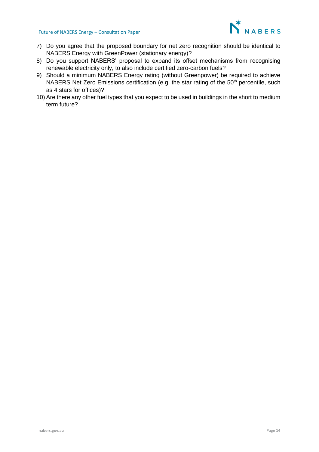#### Future of NABERS Energy – Consultation Paper



- 7) Do you agree that the proposed boundary for net zero recognition should be identical to NABERS Energy with GreenPower (stationary energy)?
- 8) Do you support NABERS' proposal to expand its offset mechanisms from recognising renewable electricity only, to also include certified zero-carbon fuels?
- 9) Should a minimum NABERS Energy rating (without Greenpower) be required to achieve NABERS Net Zero Emissions certification (e.g. the star rating of the  $50<sup>th</sup>$  percentile, such as 4 stars for offices)?
- 10) Are there any other fuel types that you expect to be used in buildings in the short to medium term future?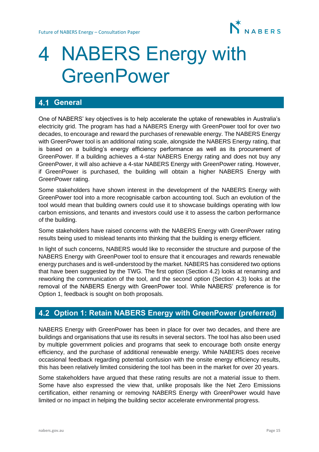

## <span id="page-15-0"></span>4 NABERS Energy with **GreenPower**

## <span id="page-15-1"></span>**4.1 General**

One of NABERS' key objectives is to help accelerate the uptake of renewables in Australia's electricity grid. The program has had a NABERS Energy with GreenPower tool for over two decades, to encourage and reward the purchases of renewable energy. The NABERS Energy with GreenPower tool is an additional rating scale, alongside the NABERS Energy rating, that is based on a building's energy efficiency performance as well as its procurement of GreenPower. If a building achieves a 4-star NABERS Energy rating and does not buy any GreenPower, it will also achieve a 4-star NABERS Energy with GreenPower rating. However, if GreenPower is purchased, the building will obtain a higher NABERS Energy with GreenPower rating.

Some stakeholders have shown interest in the development of the NABERS Energy with GreenPower tool into a more recognisable carbon accounting tool. Such an evolution of the tool would mean that building owners could use it to showcase buildings operating with low carbon emissions, and tenants and investors could use it to assess the carbon performance of the building.

Some stakeholders have raised concerns with the NABERS Energy with GreenPower rating results being used to mislead tenants into thinking that the building is energy efficient.

In light of such concerns, NABERS would like to reconsider the structure and purpose of the NABERS Energy with GreenPower tool to ensure that it encourages and rewards renewable energy purchases and is well-understood by the market. NABERS has considered two options that have been suggested by the TWG. The first option (Section 4.2) looks at renaming and reworking the communication of the tool, and the second option (Section 4.3) looks at the removal of the NABERS Energy with GreenPower tool. While NABERS' preference is for Option 1, feedback is sought on both proposals.

## <span id="page-15-2"></span>**Option 1: Retain NABERS Energy with GreenPower (preferred)**

NABERS Energy with GreenPower has been in place for over two decades, and there are buildings and organisations that use its results in several sectors. The tool has also been used by multiple government policies and programs that seek to encourage both onsite energy efficiency, and the purchase of additional renewable energy. While NABERS does receive occasional feedback regarding potential confusion with the onsite energy efficiency results, this has been relatively limited considering the tool has been in the market for over 20 years.

Some stakeholders have argued that these rating results are not a material issue to them. Some have also expressed the view that, unlike proposals like the Net Zero Emissions certification, either renaming or removing NABERS Energy with GreenPower would have limited or no impact in helping the building sector accelerate environmental progress.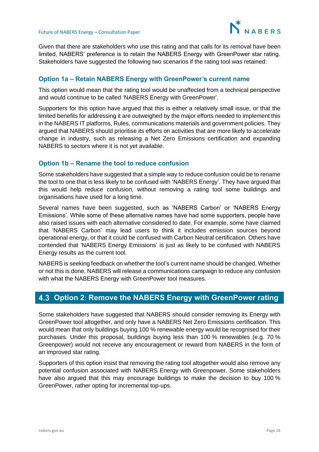

Given that there are stakeholders who use this rating and that calls for its removal have been limited, NABERS' preference is to retain the NABERS Energy with GreenPower star rating. Stakeholders have suggested the following two scenarios if the rating tool was retained:

#### **Option 1a – Retain NABERS Energy with GreenPower's current name**

This option would mean that the rating tool would be unaffected from a technical perspective and would continue to be called 'NABERS Energy with GreenPower'.

Supporters for this option have argued that this is either a relatively small issue, or that the limited benefits for addressing it are outweighed by the major efforts needed to implement this in the NABERS IT platforms, Rules, communications materials and government policies. They argued that NABERS should prioritise its efforts on activities that are more likely to accelerate change in industry, such as releasing a Net Zero Emissions certification and expanding NABERS to sectors where it is not yet available.

#### **Option 1b – Rename the tool to reduce confusion**

Some stakeholders have suggested that a simple way to reduce confusion could be to rename the tool to one that is less likely to be confused with 'NABERS Energy'. They have argued that this would help reduce confusion, without removing a rating tool some buildings and organisations have used for a long time.

Several names have been suggested, such as 'NABERS Carbon' or 'NABERS Energy Emissions'. While some of these alternative names have had some supporters, people have also raised issues with each alternative considered to date. For example, some have claimed that 'NABERS Carbon' may lead users to think it includes emission sources beyond operational energy, or that it could be confused with Carbon Neutral certification. Others have contended that 'NABERS Energy Emissions' is just as likely to be confused with NABERS Energy results as the current tool.

NABERS is seeking feedback on whether the tool's current name should be changed. Whether or not this is done, NABERS will release a communications campaign to reduce any confusion with what the NABERS Energy with GreenPower tool measures.

## <span id="page-16-0"></span>**Option 2**: **Remove the NABERS Energy with GreenPower rating**

Some stakeholders have suggested that NABERS should consider removing its Energy with GreenPower tool altogether, and only have a NABERS Net Zero Emissions certification. This would mean that only buildings buying 100 % renewable energy would be recognised for their purchases. Under this proposal, buildings buying less than 100 % renewables (e.g. 70 % Greenpower) would not receive any encouragement or reward from NABERS in the form of an improved star rating.

Supporters of this option insist that removing the rating tool altogether would also remove any potential confusion associated with NABERS Energy with Greenpower. Some stakeholders have also argued that this may encourage buildings to make the decision to buy 100 % GreenPower, rather opting for incremental top-ups.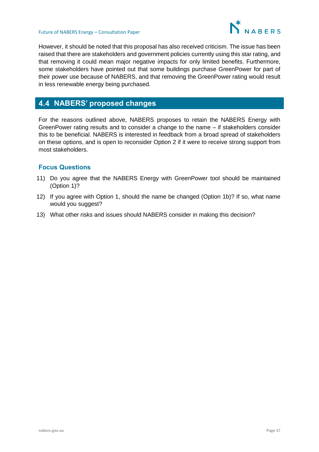

However, it should be noted that this proposal has also received criticism. The issue has been raised that there are stakeholders and government policies currently using this star rating, and that removing it could mean major negative impacts for only limited benefits. Furthermore, some stakeholders have pointed out that some buildings purchase GreenPower for part of their power use because of NABERS, and that removing the GreenPower rating would result in less renewable energy being purchased.

## <span id="page-17-0"></span>**NABERS' proposed changes**

For the reasons outlined above, NABERS proposes to retain the NABERS Energy with GreenPower rating results and to consider a change to the name – if stakeholders consider this to be beneficial. NABERS is interested in feedback from a broad spread of stakeholders on these options, and is open to reconsider Option 2 if it were to receive strong support from most stakeholders.

- 11) Do you agree that the NABERS Energy with GreenPower tool should be maintained (Option 1)?
- 12) If you agree with Option 1, should the name be changed (Option 1b)? If so, what name would you suggest?
- 13) What other risks and issues should NABERS consider in making this decision?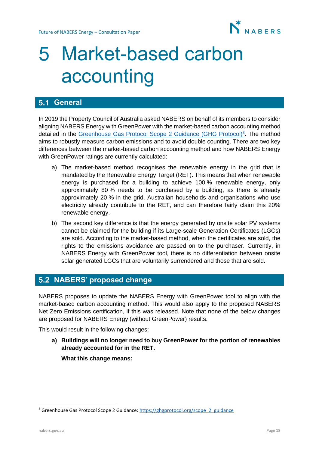

# <span id="page-18-0"></span>Market-based carbon accounting

## <span id="page-18-1"></span>**5.1 General**

In 2019 the Property Council of Australia asked NABERS on behalf of its members to consider aligning NABERS Energy with GreenPower with the market-based carbon accounting method detailed in the [Greenhouse Gas Protocol](https://ghgprotocol.org/scope_2_guidance) Scope 2 Guidance (GHG Protocol)<sup>3</sup>. The method aims to robustly measure carbon emissions and to avoid double counting. There are two key differences between the market-based carbon accounting method and how NABERS Energy with GreenPower ratings are currently calculated:

- a) The market-based method recognises the renewable energy in the grid that is mandated by the Renewable Energy Target (RET). This means that when renewable energy is purchased for a building to achieve 100 % renewable energy, only approximately 80 % needs to be purchased by a building, as there is already approximately 20 % in the grid. Australian households and organisations who use electricity already contribute to the RET, and can therefore fairly claim this 20% renewable energy.
- b) The second key difference is that the energy generated by onsite solar PV systems cannot be claimed for the building if its Large-scale Generation Certificates (LGCs) are sold. According to the market-based method, when the certificates are sold, the rights to the emissions avoidance are passed on to the purchaser. Currently, in NABERS Energy with GreenPower tool, there is no differentiation between onsite solar generated LGCs that are voluntarily surrendered and those that are sold.

## <span id="page-18-2"></span>**NABERS' proposed change**

NABERS proposes to update the NABERS Energy with GreenPower tool to align with the market-based carbon accounting method. This would also apply to the proposed NABERS Net Zero Emissions certification, if this was released. Note that none of the below changes are proposed for NABERS Energy (without GreenPower) results.

This would result in the following changes:

**a) Buildings will no longer need to buy GreenPower for the portion of renewables already accounted for in the RET.** 

**What this change means:**

<sup>&</sup>lt;sup>3</sup> Greenhouse Gas Protocol Scope 2 Guidance[: https://ghgprotocol.org/scope\\_2\\_guidance](https://ghgprotocol.org/scope_2_guidance)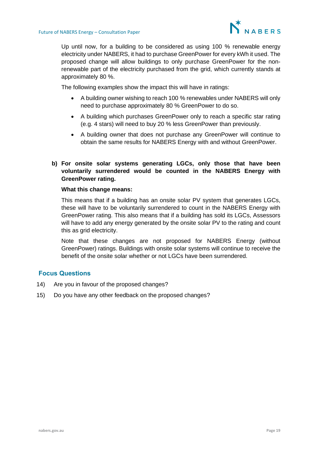

Up until now, for a building to be considered as using 100 % renewable energy electricity under NABERS, it had to purchase GreenPower for every kWh it used. The proposed change will allow buildings to only purchase GreenPower for the nonrenewable part of the electricity purchased from the grid, which currently stands at approximately 80 %.

The following examples show the impact this will have in ratings:

- A building owner wishing to reach 100 % renewables under NABERS will only need to purchase approximately 80 % GreenPower to do so.
- A building which purchases GreenPower only to reach a specific star rating (e.g. 4 stars) will need to buy 20 % less GreenPower than previously.
- A building owner that does not purchase any GreenPower will continue to obtain the same results for NABERS Energy with and without GreenPower.
- **b) For onsite solar systems generating LGCs, only those that have been voluntarily surrendered would be counted in the NABERS Energy with GreenPower rating.**

#### **What this change means:**

This means that if a building has an onsite solar PV system that generates LGCs, these will have to be voluntarily surrendered to count in the NABERS Energy with GreenPower rating. This also means that if a building has sold its LGCs, Assessors will have to add any energy generated by the onsite solar PV to the rating and count this as grid electricity.

Note that these changes are not proposed for NABERS Energy (without GreenPower) ratings. Buildings with onsite solar systems will continue to receive the benefit of the onsite solar whether or not LGCs have been surrendered.

- 14) Are you in favour of the proposed changes?
- 15) Do you have any other feedback on the proposed changes?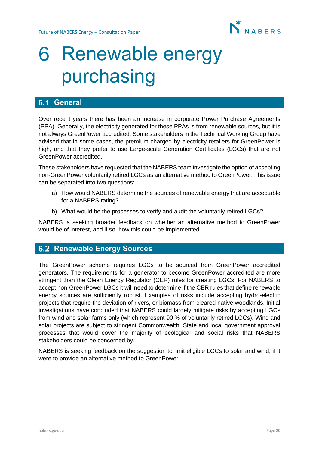

## <span id="page-20-0"></span>6 Renewable energy purchasing

## <span id="page-20-1"></span>**6.1 General**

Over recent years there has been an increase in corporate Power Purchase Agreements (PPA). Generally, the electricity generated for these PPAs is from renewable sources, but it is not always GreenPower accredited. Some stakeholders in the Technical Working Group have advised that in some cases, the premium charged by electricity retailers for GreenPower is high, and that they prefer to use Large-scale Generation Certificates (LGCs) that are not GreenPower accredited.

These stakeholders have requested that the NABERS team investigate the option of accepting non-GreenPower voluntarily retired LGCs as an alternative method to GreenPower. This issue can be separated into two questions:

- a) How would NABERS determine the sources of renewable energy that are acceptable for a NABERS rating?
- b) What would be the processes to verify and audit the voluntarily retired LGCs?

NABERS is seeking broader feedback on whether an alternative method to GreenPower would be of interest, and if so, how this could be implemented.

## <span id="page-20-2"></span>**6.2 Renewable Energy Sources**

The GreenPower scheme requires LGCs to be sourced from GreenPower accredited generators. The requirements for a generator to become GreenPower accredited are more stringent than the Clean Energy Regulator (CER) rules for creating LGCs. For NABERS to accept non-GreenPower LGCs it will need to determine if the CER rules that define renewable energy sources are sufficiently robust. Examples of risks include accepting hydro-electric projects that require the deviation of rivers, or biomass from cleared native woodlands. Initial investigations have concluded that NABERS could largely mitigate risks by accepting LGCs from wind and solar farms only (which represent 90 % of voluntarily retired LGCs). Wind and solar projects are subject to stringent Commonwealth, State and local government approval processes that would cover the majority of ecological and social risks that NABERS stakeholders could be concerned by.

NABERS is seeking feedback on the suggestion to limit eligible LGCs to solar and wind, if it were to provide an alternative method to GreenPower.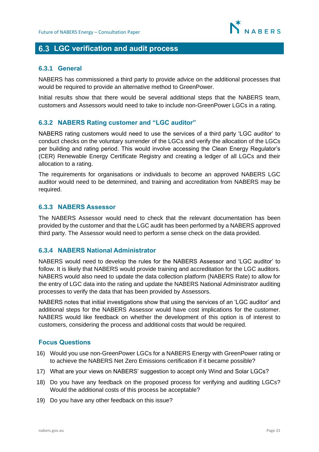

## <span id="page-21-0"></span>**LGC verification and audit process**

#### **6.3.1 General**

NABERS has commissioned a third party to provide advice on the additional processes that would be required to provide an alternative method to GreenPower.

Initial results show that there would be several additional steps that the NABERS team, customers and Assessors would need to take to include non-GreenPower LGCs in a rating.

#### **6.3.2 NABERS Rating customer and "LGC auditor"**

NABERS rating customers would need to use the services of a third party 'LGC auditor' to conduct checks on the voluntary surrender of the LGCs and verify the allocation of the LGCs per building and rating period. This would involve accessing the Clean Energy Regulator's (CER) Renewable Energy Certificate Registry and creating a ledger of all LGCs and their allocation to a rating.

The requirements for organisations or individuals to become an approved NABERS LGC auditor would need to be determined, and training and accreditation from NABERS may be required.

#### **6.3.3 NABERS Assessor**

The NABERS Assessor would need to check that the relevant documentation has been provided by the customer and that the LGC audit has been performed by a NABERS approved third party. The Assessor would need to perform a sense check on the data provided.

#### **6.3.4 NABERS National Administrator**

NABERS would need to develop the rules for the NABERS Assessor and 'LGC auditor' to follow. It is likely that NABERS would provide training and accreditation for the LGC auditors. NABERS would also need to update the data collection platform (NABERS Rate) to allow for the entry of LGC data into the rating and update the NABERS National Administrator auditing processes to verify the data that has been provided by Assessors.

NABERS notes that initial investigations show that using the services of an 'LGC auditor' and additional steps for the NABERS Assessor would have cost implications for the customer. NABERS would like feedback on whether the development of this option is of interest to customers, considering the process and additional costs that would be required.

- 16) Would you use non-GreenPower LGCs for a NABERS Energy with GreenPower rating or to achieve the NABERS Net Zero Emissions certification if it became possible?
- 17) What are your views on NABERS' suggestion to accept only Wind and Solar LGCs?
- 18) Do you have any feedback on the proposed process for verifying and auditing LGCs? Would the additional costs of this process be acceptable?
- 19) Do you have any other feedback on this issue?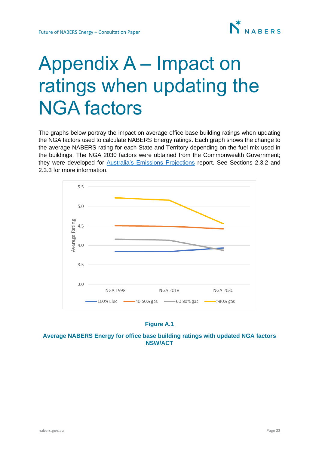# <span id="page-22-0"></span>Appendix A – Impact on ratings when updating the NGA factors

The graphs below portray the impact on average office base building ratings when updating the NGA factors used to calculate NABERS Energy ratings. Each graph shows the change to the average NABERS rating for each State and Territory depending on the fuel mix used in the buildings. The NGA 2030 factors were obtained from the Commonwealth Government; they were developed for [Australia's Emissions Projections](https://publications.industry.gov.au/publications/climate-change/climate-change/publications/emissions-projections-2019.html) report. See Sections [2.3.2](#page-4-1) and 2.3.3 for more information.



#### **Figure A.1**

#### **Average NABERS Energy for office base building ratings with updated NGA factors NSW/ACT**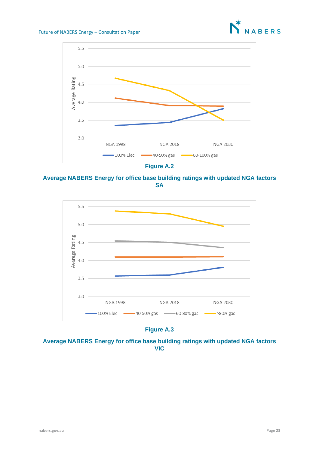



**Average NABERS Energy for office base building ratings with updated NGA factors SA**



**Figure A.3**

**Average NABERS Energy for office base building ratings with updated NGA factors VIC**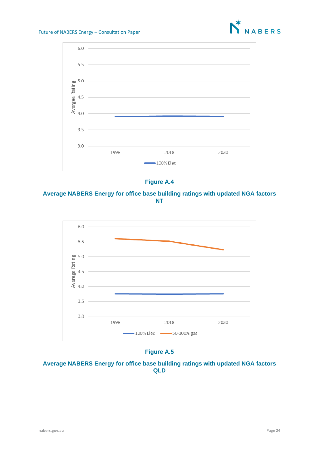





**Average NABERS Energy for office base building ratings with updated NGA factors NT**



**Figure A.5**

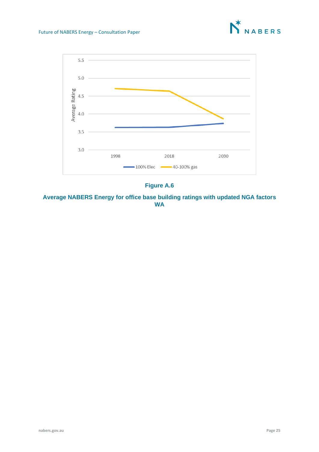



### **Figure A.6**

**Average NABERS Energy for office base building ratings with updated NGA factors WA**